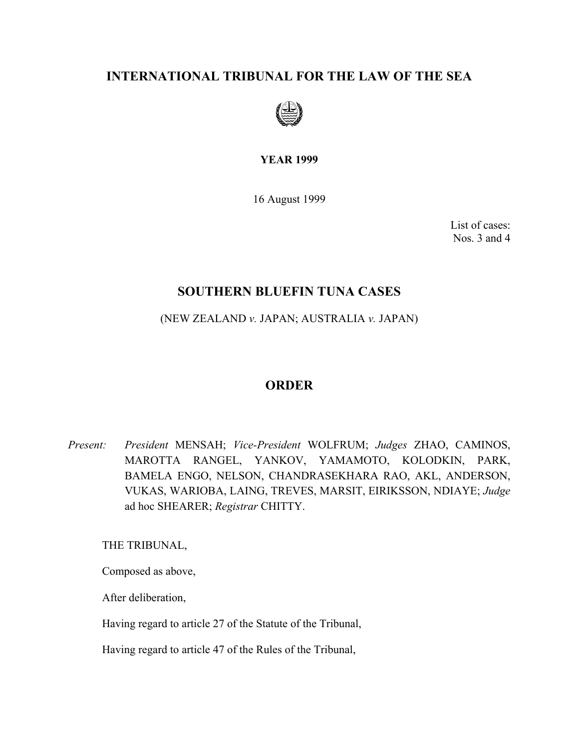# **INTERNATIONAL TRIBUNAL FOR THE LAW OF THE SEA**



**YEAR 1999** 

16 August 1999

List of cases: Nos. 3 and 4

## **SOUTHERN BLUEFIN TUNA CASES**

(NEW ZEALAND *v.* JAPAN; AUSTRALIA *v.* JAPAN)

## **ORDER**

*Present: President* MENSAH; *Vice-President* WOLFRUM; *Judges* ZHAO, CAMINOS, MAROTTA RANGEL, YANKOV, YAMAMOTO, KOLODKIN, PARK, BAMELA ENGO, NELSON, CHANDRASEKHARA RAO, AKL, ANDERSON, VUKAS, WARIOBA, LAING, TREVES, MARSIT, EIRIKSSON, NDIAYE; *Judge*  ad hoc SHEARER; *Registrar* CHITTY.

THE TRIBUNAL,

Composed as above,

After deliberation,

Having regard to article 27 of the Statute of the Tribunal,

Having regard to article 47 of the Rules of the Tribunal,